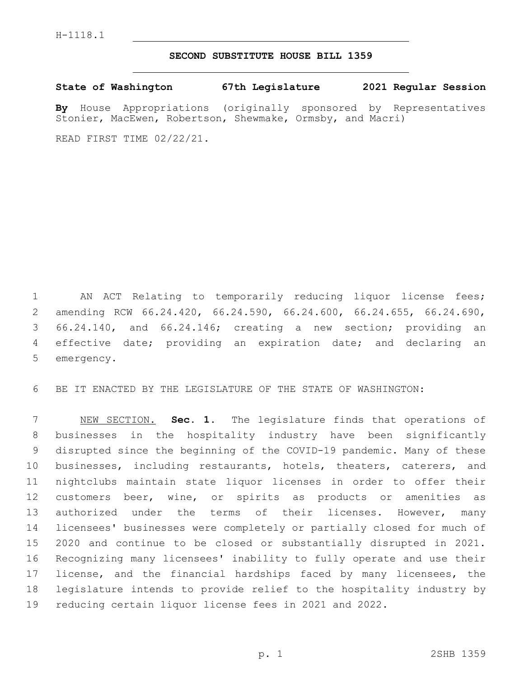## **SECOND SUBSTITUTE HOUSE BILL 1359**

**State of Washington 67th Legislature 2021 Regular Session**

**By** House Appropriations (originally sponsored by Representatives Stonier, MacEwen, Robertson, Shewmake, Ormsby, and Macri)

READ FIRST TIME 02/22/21.

 AN ACT Relating to temporarily reducing liquor license fees; amending RCW 66.24.420, 66.24.590, 66.24.600, 66.24.655, 66.24.690, 66.24.140, and 66.24.146; creating a new section; providing an effective date; providing an expiration date; and declaring an 5 emergency.

BE IT ENACTED BY THE LEGISLATURE OF THE STATE OF WASHINGTON:

 NEW SECTION. **Sec. 1.** The legislature finds that operations of businesses in the hospitality industry have been significantly disrupted since the beginning of the COVID-19 pandemic. Many of these businesses, including restaurants, hotels, theaters, caterers, and nightclubs maintain state liquor licenses in order to offer their customers beer, wine, or spirits as products or amenities as 13 authorized under the terms of their licenses. However, many licensees' businesses were completely or partially closed for much of 2020 and continue to be closed or substantially disrupted in 2021. Recognizing many licensees' inability to fully operate and use their 17 license, and the financial hardships faced by many licensees, the legislature intends to provide relief to the hospitality industry by reducing certain liquor license fees in 2021 and 2022.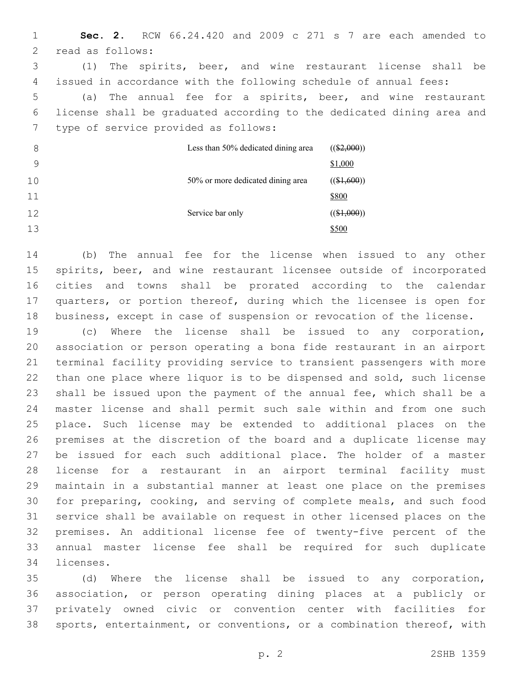**Sec. 2.** RCW 66.24.420 and 2009 c 271 s 7 are each amended to 2 read as follows: (1) The spirits, beer, and wine restaurant license shall be issued in accordance with the following schedule of annual fees: (a) The annual fee for a spirits, beer, and wine restaurant license shall be graduated according to the dedicated dining area and 7 type of service provided as follows: Less than 50% dedicated dining area  $((\$2,000))$ \$1,000 50% or more dedicated dining area  $((\$1,600))$ \$800 Service bar only  $((\$1,000))$ \$500

 (b) The annual fee for the license when issued to any other spirits, beer, and wine restaurant licensee outside of incorporated cities and towns shall be prorated according to the calendar quarters, or portion thereof, during which the licensee is open for business, except in case of suspension or revocation of the license.

 (c) Where the license shall be issued to any corporation, association or person operating a bona fide restaurant in an airport terminal facility providing service to transient passengers with more than one place where liquor is to be dispensed and sold, such license shall be issued upon the payment of the annual fee, which shall be a master license and shall permit such sale within and from one such place. Such license may be extended to additional places on the premises at the discretion of the board and a duplicate license may be issued for each such additional place. The holder of a master license for a restaurant in an airport terminal facility must maintain in a substantial manner at least one place on the premises for preparing, cooking, and serving of complete meals, and such food service shall be available on request in other licensed places on the premises. An additional license fee of twenty-five percent of the annual master license fee shall be required for such duplicate 34 licenses.

 (d) Where the license shall be issued to any corporation, association, or person operating dining places at a publicly or privately owned civic or convention center with facilities for sports, entertainment, or conventions, or a combination thereof, with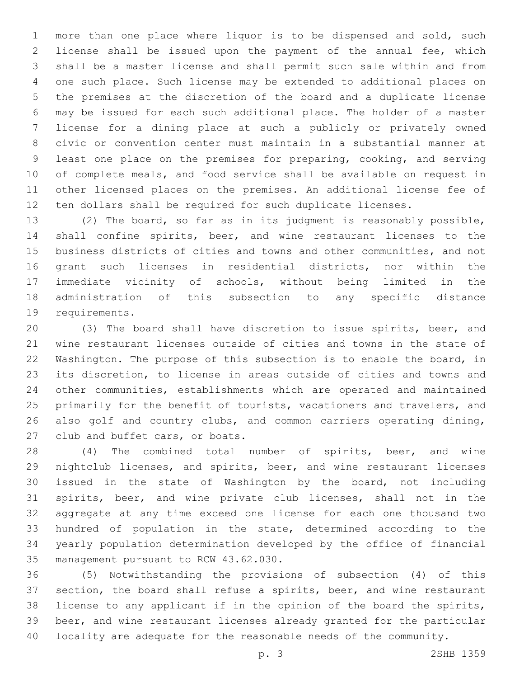more than one place where liquor is to be dispensed and sold, such license shall be issued upon the payment of the annual fee, which shall be a master license and shall permit such sale within and from one such place. Such license may be extended to additional places on the premises at the discretion of the board and a duplicate license may be issued for each such additional place. The holder of a master license for a dining place at such a publicly or privately owned civic or convention center must maintain in a substantial manner at least one place on the premises for preparing, cooking, and serving of complete meals, and food service shall be available on request in other licensed places on the premises. An additional license fee of ten dollars shall be required for such duplicate licenses.

 (2) The board, so far as in its judgment is reasonably possible, shall confine spirits, beer, and wine restaurant licenses to the business districts of cities and towns and other communities, and not grant such licenses in residential districts, nor within the immediate vicinity of schools, without being limited in the administration of this subsection to any specific distance 19 requirements.

 (3) The board shall have discretion to issue spirits, beer, and wine restaurant licenses outside of cities and towns in the state of Washington. The purpose of this subsection is to enable the board, in its discretion, to license in areas outside of cities and towns and other communities, establishments which are operated and maintained 25 primarily for the benefit of tourists, vacationers and travelers, and also golf and country clubs, and common carriers operating dining, 27 club and buffet cars, or boats.

 (4) The combined total number of spirits, beer, and wine nightclub licenses, and spirits, beer, and wine restaurant licenses issued in the state of Washington by the board, not including spirits, beer, and wine private club licenses, shall not in the aggregate at any time exceed one license for each one thousand two hundred of population in the state, determined according to the yearly population determination developed by the office of financial 35 management pursuant to RCW 43.62.030.

 (5) Notwithstanding the provisions of subsection (4) of this section, the board shall refuse a spirits, beer, and wine restaurant license to any applicant if in the opinion of the board the spirits, beer, and wine restaurant licenses already granted for the particular locality are adequate for the reasonable needs of the community.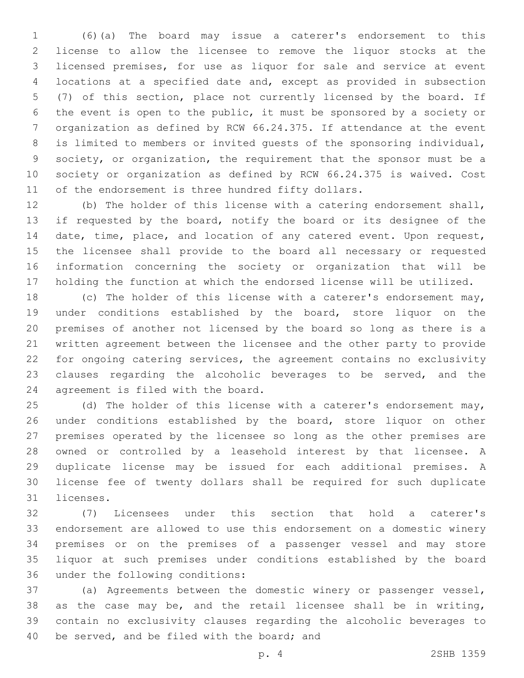(6)(a) The board may issue a caterer's endorsement to this license to allow the licensee to remove the liquor stocks at the licensed premises, for use as liquor for sale and service at event locations at a specified date and, except as provided in subsection (7) of this section, place not currently licensed by the board. If the event is open to the public, it must be sponsored by a society or organization as defined by RCW 66.24.375. If attendance at the event is limited to members or invited guests of the sponsoring individual, society, or organization, the requirement that the sponsor must be a society or organization as defined by RCW 66.24.375 is waived. Cost of the endorsement is three hundred fifty dollars.

 (b) The holder of this license with a catering endorsement shall, if requested by the board, notify the board or its designee of the date, time, place, and location of any catered event. Upon request, the licensee shall provide to the board all necessary or requested information concerning the society or organization that will be holding the function at which the endorsed license will be utilized.

 (c) The holder of this license with a caterer's endorsement may, under conditions established by the board, store liquor on the premises of another not licensed by the board so long as there is a written agreement between the licensee and the other party to provide for ongoing catering services, the agreement contains no exclusivity clauses regarding the alcoholic beverages to be served, and the 24 agreement is filed with the board.

25 (d) The holder of this license with a caterer's endorsement may, 26 under conditions established by the board, store liquor on other premises operated by the licensee so long as the other premises are owned or controlled by a leasehold interest by that licensee. A duplicate license may be issued for each additional premises. A license fee of twenty dollars shall be required for such duplicate 31 licenses.

 (7) Licensees under this section that hold a caterer's endorsement are allowed to use this endorsement on a domestic winery premises or on the premises of a passenger vessel and may store liquor at such premises under conditions established by the board 36 under the following conditions:

 (a) Agreements between the domestic winery or passenger vessel, as the case may be, and the retail licensee shall be in writing, contain no exclusivity clauses regarding the alcoholic beverages to 40 be served, and be filed with the board; and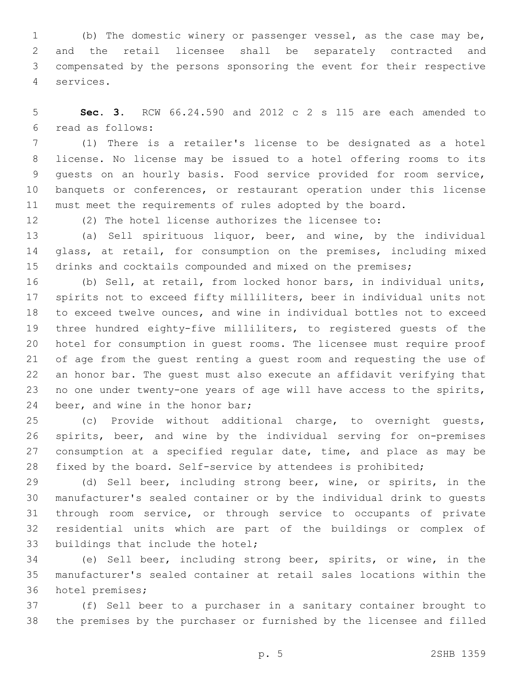(b) The domestic winery or passenger vessel, as the case may be, and the retail licensee shall be separately contracted and compensated by the persons sponsoring the event for their respective services.4

 **Sec. 3.** RCW 66.24.590 and 2012 c 2 s 115 are each amended to read as follows:6

 (1) There is a retailer's license to be designated as a hotel license. No license may be issued to a hotel offering rooms to its guests on an hourly basis. Food service provided for room service, banquets or conferences, or restaurant operation under this license must meet the requirements of rules adopted by the board.

(2) The hotel license authorizes the licensee to:

 (a) Sell spirituous liquor, beer, and wine, by the individual 14 glass, at retail, for consumption on the premises, including mixed 15 drinks and cocktails compounded and mixed on the premises;

 (b) Sell, at retail, from locked honor bars, in individual units, spirits not to exceed fifty milliliters, beer in individual units not to exceed twelve ounces, and wine in individual bottles not to exceed three hundred eighty-five milliliters, to registered guests of the hotel for consumption in guest rooms. The licensee must require proof of age from the guest renting a guest room and requesting the use of an honor bar. The guest must also execute an affidavit verifying that no one under twenty-one years of age will have access to the spirits, 24 beer, and wine in the honor bar;

 (c) Provide without additional charge, to overnight guests, spirits, beer, and wine by the individual serving for on-premises 27 consumption at a specified regular date, time, and place as may be fixed by the board. Self-service by attendees is prohibited;

 (d) Sell beer, including strong beer, wine, or spirits, in the manufacturer's sealed container or by the individual drink to guests through room service, or through service to occupants of private residential units which are part of the buildings or complex of 33 buildings that include the hotel;

 (e) Sell beer, including strong beer, spirits, or wine, in the manufacturer's sealed container at retail sales locations within the 36 hotel premises;

 (f) Sell beer to a purchaser in a sanitary container brought to the premises by the purchaser or furnished by the licensee and filled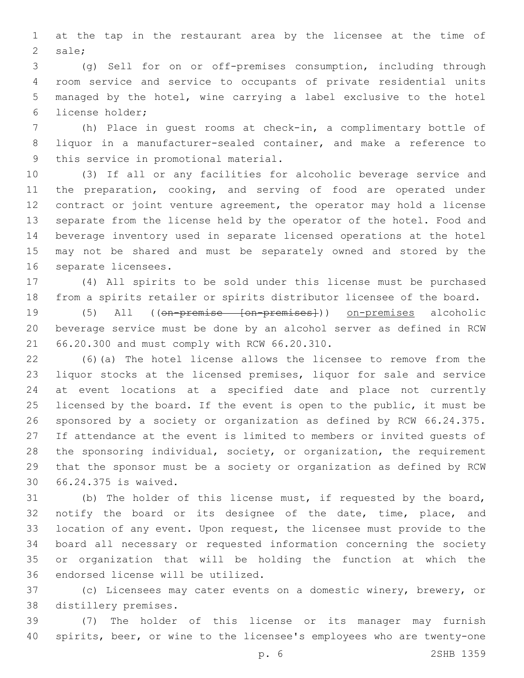at the tap in the restaurant area by the licensee at the time of 2 sale;

 (g) Sell for on or off-premises consumption, including through room service and service to occupants of private residential units managed by the hotel, wine carrying a label exclusive to the hotel 6 license holder;

 (h) Place in guest rooms at check-in, a complimentary bottle of liquor in a manufacturer-sealed container, and make a reference to 9 this service in promotional material.

 (3) If all or any facilities for alcoholic beverage service and the preparation, cooking, and serving of food are operated under contract or joint venture agreement, the operator may hold a license separate from the license held by the operator of the hotel. Food and beverage inventory used in separate licensed operations at the hotel may not be shared and must be separately owned and stored by the 16 separate licensees.

 (4) All spirits to be sold under this license must be purchased from a spirits retailer or spirits distributor licensee of the board.

 (5) All ((on-premise [on-premises])) on-premises alcoholic beverage service must be done by an alcohol server as defined in RCW 66.20.300 and must comply with RCW 66.20.310.21

 (6)(a) The hotel license allows the licensee to remove from the liquor stocks at the licensed premises, liquor for sale and service at event locations at a specified date and place not currently licensed by the board. If the event is open to the public, it must be sponsored by a society or organization as defined by RCW 66.24.375. If attendance at the event is limited to members or invited guests of the sponsoring individual, society, or organization, the requirement that the sponsor must be a society or organization as defined by RCW 66.24.375 is waived.30

 (b) The holder of this license must, if requested by the board, 32 notify the board or its designee of the date, time, place, and location of any event. Upon request, the licensee must provide to the board all necessary or requested information concerning the society or organization that will be holding the function at which the 36 endorsed license will be utilized.

 (c) Licensees may cater events on a domestic winery, brewery, or 38 distillery premises.

 (7) The holder of this license or its manager may furnish spirits, beer, or wine to the licensee's employees who are twenty-one

p. 6 2SHB 1359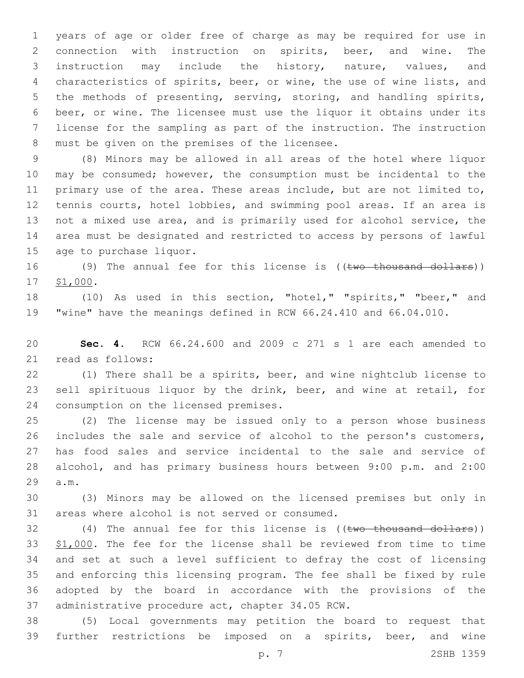years of age or older free of charge as may be required for use in connection with instruction on spirits, beer, and wine. The instruction may include the history, nature, values, and characteristics of spirits, beer, or wine, the use of wine lists, and the methods of presenting, serving, storing, and handling spirits, beer, or wine. The licensee must use the liquor it obtains under its license for the sampling as part of the instruction. The instruction 8 must be given on the premises of the licensee.

 (8) Minors may be allowed in all areas of the hotel where liquor may be consumed; however, the consumption must be incidental to the primary use of the area. These areas include, but are not limited to, 12 tennis courts, hotel lobbies, and swimming pool areas. If an area is not a mixed use area, and is primarily used for alcohol service, the area must be designated and restricted to access by persons of lawful 15 age to purchase liquor.

16 (9) The annual fee for this license is ((two thousand dollars)) 17 \$1,000.

 (10) As used in this section, "hotel," "spirits," "beer," and "wine" have the meanings defined in RCW 66.24.410 and 66.04.010.

 **Sec. 4.** RCW 66.24.600 and 2009 c 271 s 1 are each amended to 21 read as follows:

 (1) There shall be a spirits, beer, and wine nightclub license to sell spirituous liquor by the drink, beer, and wine at retail, for 24 consumption on the licensed premises.

 (2) The license may be issued only to a person whose business includes the sale and service of alcohol to the person's customers, has food sales and service incidental to the sale and service of alcohol, and has primary business hours between 9:00 p.m. and 2:00 29 a.m.

 (3) Minors may be allowed on the licensed premises but only in 31 areas where alcohol is not served or consumed.

32 (4) The annual fee for this license is ((two thousand dollars)) \$1,000. The fee for the license shall be reviewed from time to time and set at such a level sufficient to defray the cost of licensing and enforcing this licensing program. The fee shall be fixed by rule adopted by the board in accordance with the provisions of the 37 administrative procedure act, chapter 34.05 RCW.

 (5) Local governments may petition the board to request that further restrictions be imposed on a spirits, beer, and wine

p. 7 2SHB 1359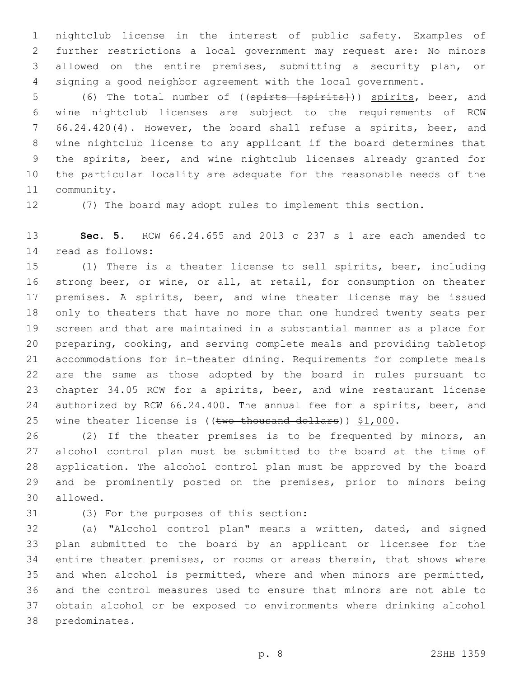nightclub license in the interest of public safety. Examples of further restrictions a local government may request are: No minors allowed on the entire premises, submitting a security plan, or signing a good neighbor agreement with the local government.

5 (6) The total number of ((spirts [spirits])) spirits, beer, and wine nightclub licenses are subject to the requirements of RCW 66.24.420(4). However, the board shall refuse a spirits, beer, and wine nightclub license to any applicant if the board determines that the spirits, beer, and wine nightclub licenses already granted for the particular locality are adequate for the reasonable needs of the 11 community.

(7) The board may adopt rules to implement this section.

 **Sec. 5.** RCW 66.24.655 and 2013 c 237 s 1 are each amended to read as follows:14

 (1) There is a theater license to sell spirits, beer, including strong beer, or wine, or all, at retail, for consumption on theater premises. A spirits, beer, and wine theater license may be issued only to theaters that have no more than one hundred twenty seats per screen and that are maintained in a substantial manner as a place for preparing, cooking, and serving complete meals and providing tabletop accommodations for in-theater dining. Requirements for complete meals are the same as those adopted by the board in rules pursuant to chapter 34.05 RCW for a spirits, beer, and wine restaurant license authorized by RCW 66.24.400. The annual fee for a spirits, beer, and 25 wine theater license is ((two thousand dollars)) \$1,000.

 (2) If the theater premises is to be frequented by minors, an alcohol control plan must be submitted to the board at the time of application. The alcohol control plan must be approved by the board and be prominently posted on the premises, prior to minors being 30 allowed.

(3) For the purposes of this section:31

 (a) "Alcohol control plan" means a written, dated, and signed plan submitted to the board by an applicant or licensee for the entire theater premises, or rooms or areas therein, that shows where and when alcohol is permitted, where and when minors are permitted, and the control measures used to ensure that minors are not able to obtain alcohol or be exposed to environments where drinking alcohol 38 predominates.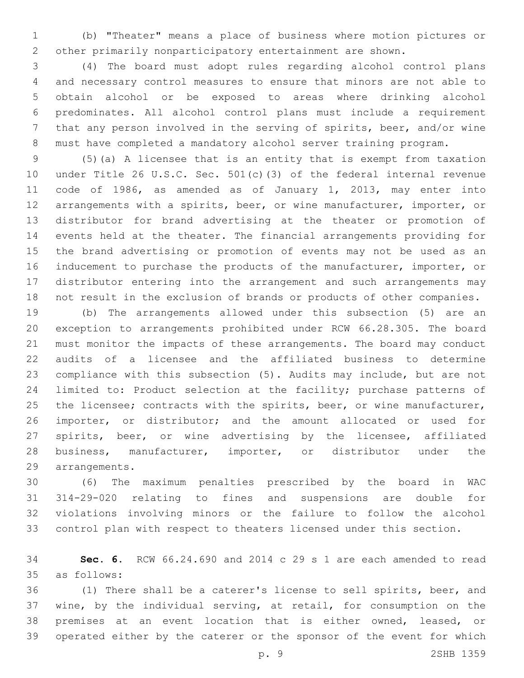(b) "Theater" means a place of business where motion pictures or other primarily nonparticipatory entertainment are shown.

 (4) The board must adopt rules regarding alcohol control plans and necessary control measures to ensure that minors are not able to obtain alcohol or be exposed to areas where drinking alcohol predominates. All alcohol control plans must include a requirement that any person involved in the serving of spirits, beer, and/or wine must have completed a mandatory alcohol server training program.

 (5)(a) A licensee that is an entity that is exempt from taxation under Title 26 U.S.C. Sec. 501(c)(3) of the federal internal revenue code of 1986, as amended as of January 1, 2013, may enter into arrangements with a spirits, beer, or wine manufacturer, importer, or distributor for brand advertising at the theater or promotion of events held at the theater. The financial arrangements providing for the brand advertising or promotion of events may not be used as an inducement to purchase the products of the manufacturer, importer, or distributor entering into the arrangement and such arrangements may not result in the exclusion of brands or products of other companies.

 (b) The arrangements allowed under this subsection (5) are an exception to arrangements prohibited under RCW 66.28.305. The board must monitor the impacts of these arrangements. The board may conduct audits of a licensee and the affiliated business to determine compliance with this subsection (5). Audits may include, but are not limited to: Product selection at the facility; purchase patterns of 25 the licensee; contracts with the spirits, beer, or wine manufacturer, importer, or distributor; and the amount allocated or used for spirits, beer, or wine advertising by the licensee, affiliated business, manufacturer, importer, or distributor under the 29 arrangements.

 (6) The maximum penalties prescribed by the board in WAC 314-29-020 relating to fines and suspensions are double for violations involving minors or the failure to follow the alcohol control plan with respect to theaters licensed under this section.

 **Sec. 6.** RCW 66.24.690 and 2014 c 29 s 1 are each amended to read as follows:35

 (1) There shall be a caterer's license to sell spirits, beer, and wine, by the individual serving, at retail, for consumption on the premises at an event location that is either owned, leased, or operated either by the caterer or the sponsor of the event for which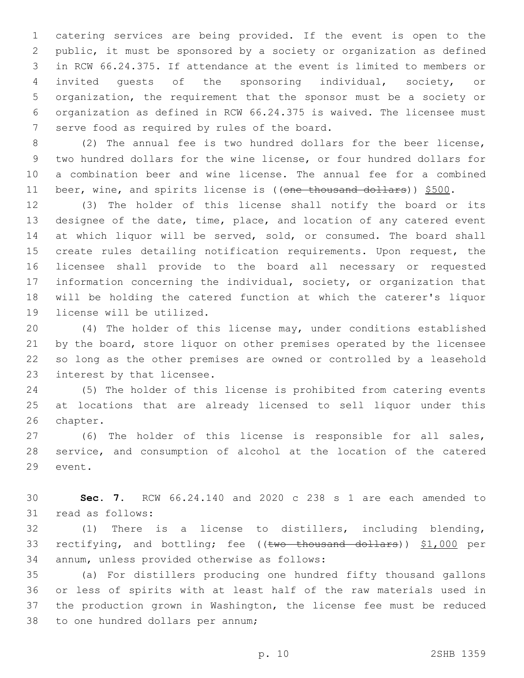catering services are being provided. If the event is open to the public, it must be sponsored by a society or organization as defined in RCW 66.24.375. If attendance at the event is limited to members or invited guests of the sponsoring individual, society, or organization, the requirement that the sponsor must be a society or organization as defined in RCW 66.24.375 is waived. The licensee must 7 serve food as required by rules of the board.

 (2) The annual fee is two hundred dollars for the beer license, two hundred dollars for the wine license, or four hundred dollars for a combination beer and wine license. The annual fee for a combined 11 beer, wine, and spirits license is ((one thousand dollars)) \$500.

 (3) The holder of this license shall notify the board or its designee of the date, time, place, and location of any catered event 14 at which liquor will be served, sold, or consumed. The board shall create rules detailing notification requirements. Upon request, the licensee shall provide to the board all necessary or requested information concerning the individual, society, or organization that will be holding the catered function at which the caterer's liquor 19 license will be utilized.

 (4) The holder of this license may, under conditions established 21 by the board, store liquor on other premises operated by the licensee so long as the other premises are owned or controlled by a leasehold 23 interest by that licensee.

 (5) The holder of this license is prohibited from catering events at locations that are already licensed to sell liquor under this 26 chapter.

 (6) The holder of this license is responsible for all sales, service, and consumption of alcohol at the location of the catered 29 event.

 **Sec. 7.** RCW 66.24.140 and 2020 c 238 s 1 are each amended to 31 read as follows:

 (1) There is a license to distillers, including blending, 33 rectifying, and bottling; fee ((two thousand dollars)) \$1,000 per 34 annum, unless provided otherwise as follows:

 (a) For distillers producing one hundred fifty thousand gallons or less of spirits with at least half of the raw materials used in the production grown in Washington, the license fee must be reduced 38 to one hundred dollars per annum;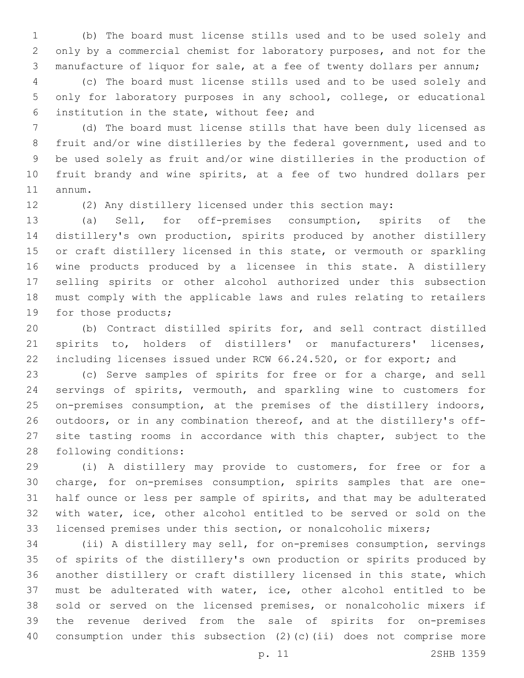(b) The board must license stills used and to be used solely and only by a commercial chemist for laboratory purposes, and not for the manufacture of liquor for sale, at a fee of twenty dollars per annum;

 (c) The board must license stills used and to be used solely and only for laboratory purposes in any school, college, or educational institution in the state, without fee; and6

 (d) The board must license stills that have been duly licensed as fruit and/or wine distilleries by the federal government, used and to be used solely as fruit and/or wine distilleries in the production of fruit brandy and wine spirits, at a fee of two hundred dollars per 11 annum.

(2) Any distillery licensed under this section may:

 (a) Sell, for off-premises consumption, spirits of the distillery's own production, spirits produced by another distillery or craft distillery licensed in this state, or vermouth or sparkling wine products produced by a licensee in this state. A distillery selling spirits or other alcohol authorized under this subsection must comply with the applicable laws and rules relating to retailers 19 for those products;

 (b) Contract distilled spirits for, and sell contract distilled spirits to, holders of distillers' or manufacturers' licenses, including licenses issued under RCW 66.24.520, or for export; and

 (c) Serve samples of spirits for free or for a charge, and sell servings of spirits, vermouth, and sparkling wine to customers for on-premises consumption, at the premises of the distillery indoors, outdoors, or in any combination thereof, and at the distillery's off- site tasting rooms in accordance with this chapter, subject to the 28 following conditions:

 (i) A distillery may provide to customers, for free or for a charge, for on-premises consumption, spirits samples that are one- half ounce or less per sample of spirits, and that may be adulterated with water, ice, other alcohol entitled to be served or sold on the licensed premises under this section, or nonalcoholic mixers;

 (ii) A distillery may sell, for on-premises consumption, servings of spirits of the distillery's own production or spirits produced by another distillery or craft distillery licensed in this state, which must be adulterated with water, ice, other alcohol entitled to be sold or served on the licensed premises, or nonalcoholic mixers if the revenue derived from the sale of spirits for on-premises consumption under this subsection (2)(c)(ii) does not comprise more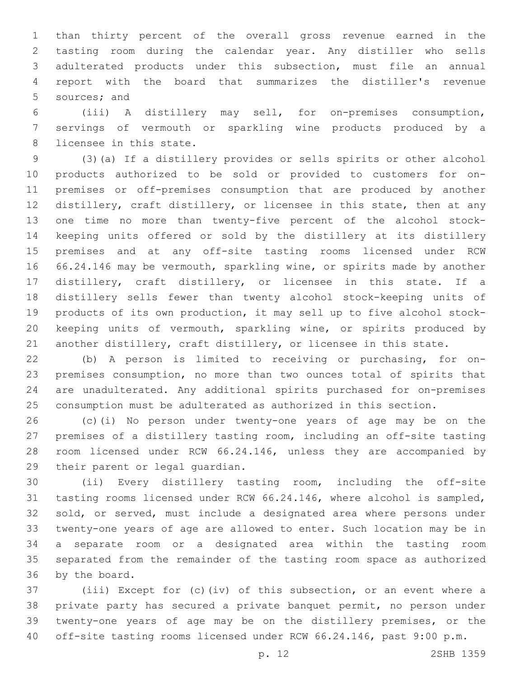than thirty percent of the overall gross revenue earned in the tasting room during the calendar year. Any distiller who sells adulterated products under this subsection, must file an annual report with the board that summarizes the distiller's revenue 5 sources; and

 (iii) A distillery may sell, for on-premises consumption, servings of vermouth or sparkling wine products produced by a 8 licensee in this state.

 (3)(a) If a distillery provides or sells spirits or other alcohol products authorized to be sold or provided to customers for on- premises or off-premises consumption that are produced by another distillery, craft distillery, or licensee in this state, then at any one time no more than twenty-five percent of the alcohol stock- keeping units offered or sold by the distillery at its distillery premises and at any off-site tasting rooms licensed under RCW 66.24.146 may be vermouth, sparkling wine, or spirits made by another distillery, craft distillery, or licensee in this state. If a distillery sells fewer than twenty alcohol stock-keeping units of products of its own production, it may sell up to five alcohol stock- keeping units of vermouth, sparkling wine, or spirits produced by another distillery, craft distillery, or licensee in this state.

 (b) A person is limited to receiving or purchasing, for on- premises consumption, no more than two ounces total of spirits that are unadulterated. Any additional spirits purchased for on-premises consumption must be adulterated as authorized in this section.

 (c)(i) No person under twenty-one years of age may be on the premises of a distillery tasting room, including an off-site tasting room licensed under RCW 66.24.146, unless they are accompanied by 29 their parent or legal quardian.

 (ii) Every distillery tasting room, including the off-site tasting rooms licensed under RCW 66.24.146, where alcohol is sampled, sold, or served, must include a designated area where persons under twenty-one years of age are allowed to enter. Such location may be in a separate room or a designated area within the tasting room separated from the remainder of the tasting room space as authorized 36 by the board.

 (iii) Except for (c)(iv) of this subsection, or an event where a private party has secured a private banquet permit, no person under twenty-one years of age may be on the distillery premises, or the off-site tasting rooms licensed under RCW 66.24.146, past 9:00 p.m.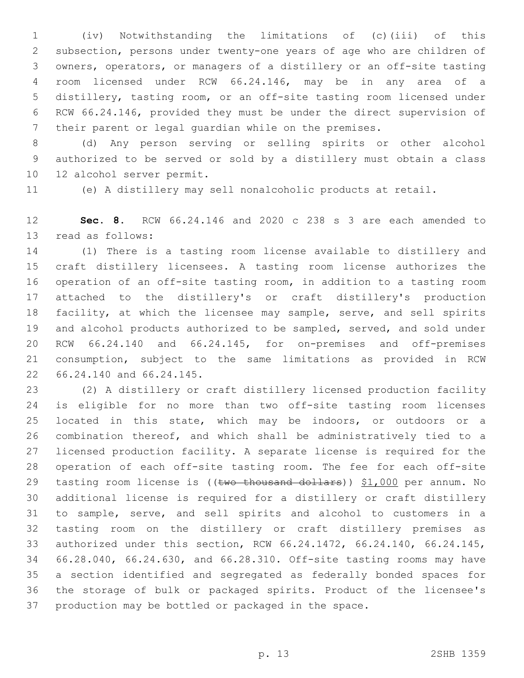(iv) Notwithstanding the limitations of (c)(iii) of this subsection, persons under twenty-one years of age who are children of owners, operators, or managers of a distillery or an off-site tasting room licensed under RCW 66.24.146, may be in any area of a distillery, tasting room, or an off-site tasting room licensed under RCW 66.24.146, provided they must be under the direct supervision of their parent or legal guardian while on the premises.

 (d) Any person serving or selling spirits or other alcohol authorized to be served or sold by a distillery must obtain a class 10 12 alcohol server permit.

(e) A distillery may sell nonalcoholic products at retail.

 **Sec. 8.** RCW 66.24.146 and 2020 c 238 s 3 are each amended to 13 read as follows:

 (1) There is a tasting room license available to distillery and craft distillery licensees. A tasting room license authorizes the operation of an off-site tasting room, in addition to a tasting room attached to the distillery's or craft distillery's production facility, at which the licensee may sample, serve, and sell spirits and alcohol products authorized to be sampled, served, and sold under RCW 66.24.140 and 66.24.145, for on-premises and off-premises consumption, subject to the same limitations as provided in RCW 22 66.24.140 and 66.24.145.

 (2) A distillery or craft distillery licensed production facility is eligible for no more than two off-site tasting room licenses located in this state, which may be indoors, or outdoors or a combination thereof, and which shall be administratively tied to a licensed production facility. A separate license is required for the operation of each off-site tasting room. The fee for each off-site 29 tasting room license is ((two thousand dollars)) \$1,000 per annum. No additional license is required for a distillery or craft distillery to sample, serve, and sell spirits and alcohol to customers in a tasting room on the distillery or craft distillery premises as authorized under this section, RCW 66.24.1472, 66.24.140, 66.24.145, 66.28.040, 66.24.630, and 66.28.310. Off-site tasting rooms may have a section identified and segregated as federally bonded spaces for the storage of bulk or packaged spirits. Product of the licensee's production may be bottled or packaged in the space.